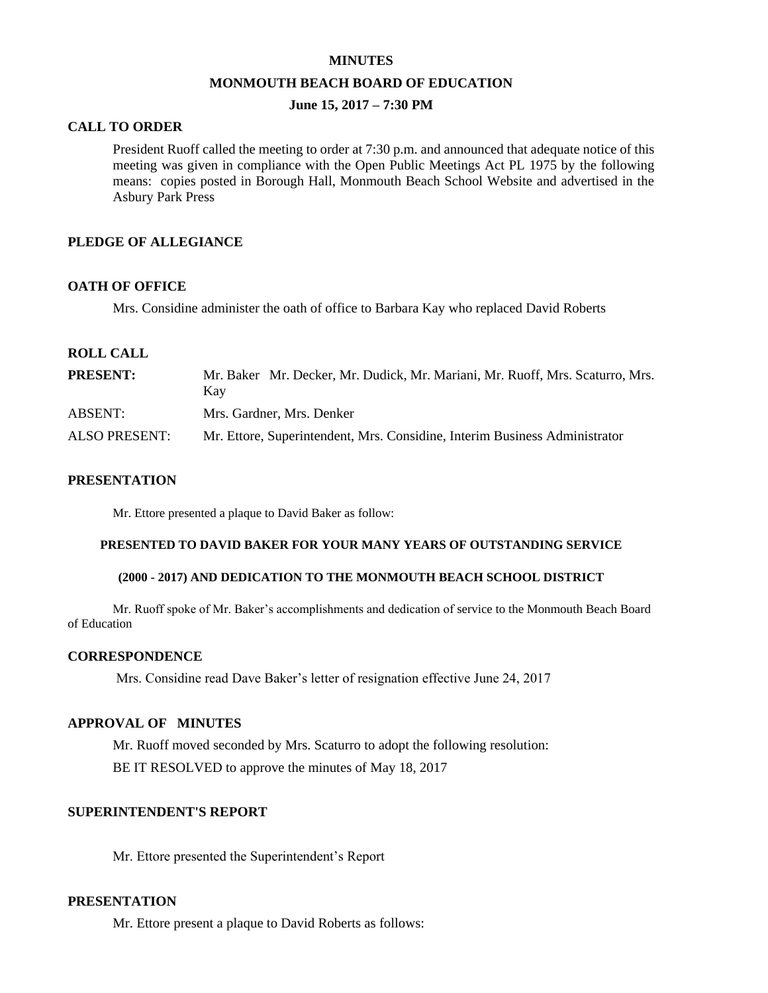#### **MINUTES**

#### **MONMOUTH BEACH BOARD OF EDUCATION**

## **June 15, 2017 – 7:30 PM**

## **CALL TO ORDER**

President Ruoff called the meeting to order at 7:30 p.m. and announced that adequate notice of this meeting was given in compliance with the Open Public Meetings Act PL 1975 by the following means: copies posted in Borough Hall, Monmouth Beach School Website and advertised in the Asbury Park Press

## **PLEDGE OF ALLEGIANCE**

#### **OATH OF OFFICE**

Mrs. Considine administer the oath of office to Barbara Kay who replaced David Roberts

## **ROLL CALL**

| <b>PRESENT:</b>      | Mr. Baker Mr. Decker, Mr. Dudick, Mr. Mariani, Mr. Ruoff, Mrs. Scaturro, Mrs.<br>Kav |
|----------------------|--------------------------------------------------------------------------------------|
| ABSENT:              | Mrs. Gardner, Mrs. Denker                                                            |
| <b>ALSO PRESENT:</b> | Mr. Ettore, Superintendent, Mrs. Considine, Interim Business Administrator           |

#### **PRESENTATION**

Mr. Ettore presented a plaque to David Baker as follow:

### **PRESENTED TO DAVID BAKER FOR YOUR MANY YEARS OF OUTSTANDING SERVICE**

#### **(2000 - 2017) AND DEDICATION TO THE MONMOUTH BEACH SCHOOL DISTRICT**

Mr. Ruoff spoke of Mr. Baker's accomplishments and dedication of service to the Monmouth Beach Board of Education

#### **CORRESPONDENCE**

Mrs. Considine read Dave Baker's letter of resignation effective June 24, 2017

#### **APPROVAL OF MINUTES**

Mr. Ruoff moved seconded by Mrs. Scaturro to adopt the following resolution: BE IT RESOLVED to approve the minutes of May 18, 2017

#### **SUPERINTENDENT'S REPORT**

Mr. Ettore presented the Superintendent's Report

### **PRESENTATION**

Mr. Ettore present a plaque to David Roberts as follows: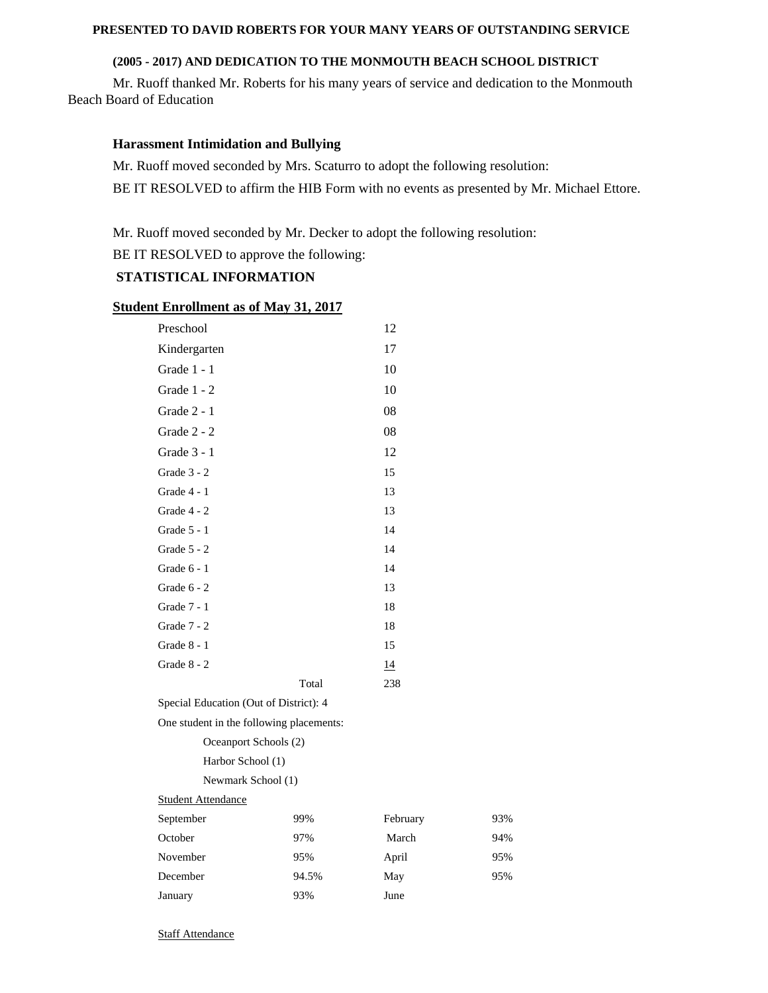## **PRESENTED TO DAVID ROBERTS FOR YOUR MANY YEARS OF OUTSTANDING SERVICE**

## **(2005 - 2017) AND DEDICATION TO THE MONMOUTH BEACH SCHOOL DISTRICT**

Mr. Ruoff thanked Mr. Roberts for his many years of service and dedication to the Monmouth Beach Board of Education

## **Harassment Intimidation and Bullying**

Mr. Ruoff moved seconded by Mrs. Scaturro to adopt the following resolution:

BE IT RESOLVED to affirm the HIB Form with no events as presented by Mr. Michael Ettore.

Mr. Ruoff moved seconded by Mr. Decker to adopt the following resolution:

BE IT RESOLVED to approve the following:

## **STATISTICAL INFORMATION**

### **Student Enrollment as of May 31, 2017**

| Preschool                                |       | 12       |     |
|------------------------------------------|-------|----------|-----|
| Kindergarten                             |       | 17       |     |
| Grade 1 - 1                              |       | 10       |     |
| Grade 1 - 2                              |       | 10       |     |
| Grade 2 - 1                              |       | 08       |     |
| Grade 2 - 2                              |       | 08       |     |
| Grade 3 - 1                              |       | 12       |     |
| Grade 3 - 2                              |       | 15       |     |
| Grade 4 - 1                              |       | 13       |     |
| Grade 4 - 2                              |       | 13       |     |
| Grade 5 - 1                              |       | 14       |     |
| Grade 5 - 2                              |       | 14       |     |
| Grade 6 - 1                              |       | 14       |     |
| Grade 6 - 2                              |       | 13       |     |
| Grade 7 - 1                              |       | 18       |     |
| Grade 7 - 2                              |       | 18       |     |
| Grade 8 - 1                              |       | 15       |     |
| Grade 8 - 2                              |       | 14       |     |
|                                          | Total | 238      |     |
| Special Education (Out of District): 4   |       |          |     |
| One student in the following placements: |       |          |     |
| Oceanport Schools (2)                    |       |          |     |
| Harbor School (1)                        |       |          |     |
| Newmark School (1)                       |       |          |     |
| <b>Student Attendance</b>                |       |          |     |
| September                                | 99%   | February | 93% |
| October                                  | 97%   | March    | 94% |
| November                                 | 95%   | April    | 95% |
| December                                 | 94.5% | May      | 95% |

January 93% June

Staff Attendance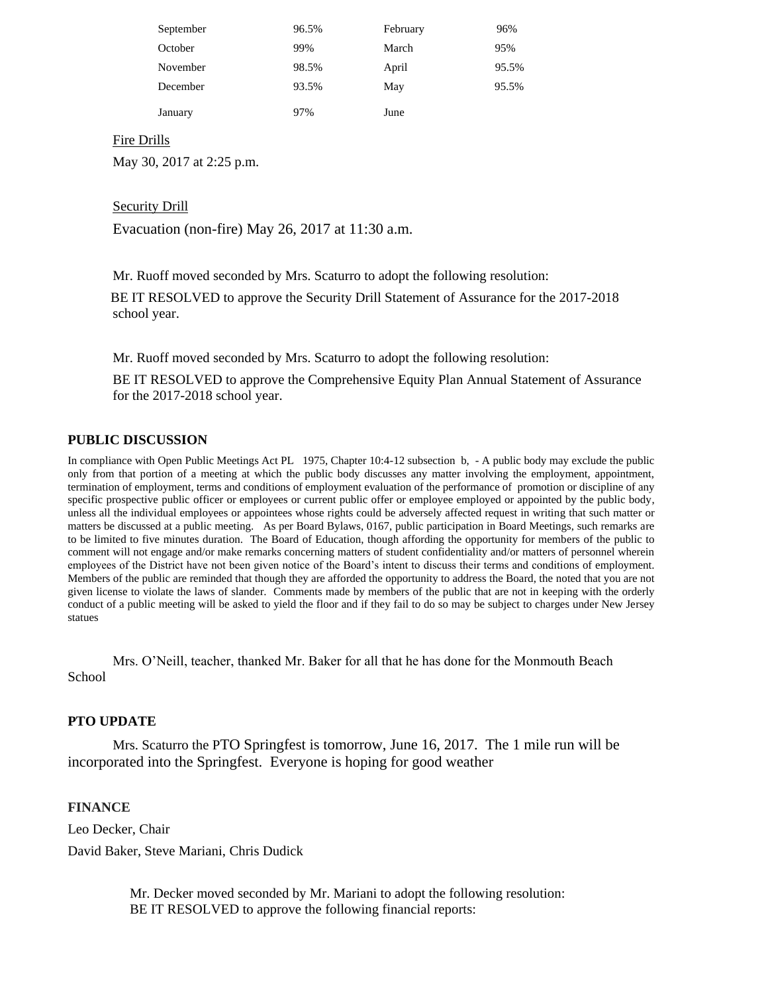| September | 96.5% | February | 96%   |
|-----------|-------|----------|-------|
| October   | 99%   | March    | 95%   |
| November  | 98.5% | April    | 95.5% |
| December  | 93.5% | May      | 95.5% |
| January   | 97%   | June     |       |

## Fire Drills

May 30, 2017 at 2:25 p.m.

## Security Drill

Evacuation (non-fire) May 26, 2017 at 11:30 a.m.

Mr. Ruoff moved seconded by Mrs. Scaturro to adopt the following resolution:

BE IT RESOLVED to approve the Security Drill Statement of Assurance for the 2017-2018 school year.

Mr. Ruoff moved seconded by Mrs. Scaturro to adopt the following resolution:

BE IT RESOLVED to approve the Comprehensive Equity Plan Annual Statement of Assurance for the 2017-2018 school year.

## **PUBLIC DISCUSSION**

In compliance with Open Public Meetings Act PL 1975, Chapter 10:4-12 subsection b, - A public body may exclude the public only from that portion of a meeting at which the public body discusses any matter involving the employment, appointment, termination of employment, terms and conditions of employment evaluation of the performance of promotion or discipline of any specific prospective public officer or employees or current public offer or employee employed or appointed by the public body, unless all the individual employees or appointees whose rights could be adversely affected request in writing that such matter or matters be discussed at a public meeting. As per Board Bylaws, 0167, public participation in Board Meetings, such remarks are to be limited to five minutes duration. The Board of Education, though affording the opportunity for members of the public to comment will not engage and/or make remarks concerning matters of student confidentiality and/or matters of personnel wherein employees of the District have not been given notice of the Board's intent to discuss their terms and conditions of employment. Members of the public are reminded that though they are afforded the opportunity to address the Board, the noted that you are not given license to violate the laws of slander. Comments made by members of the public that are not in keeping with the orderly conduct of a public meeting will be asked to yield the floor and if they fail to do so may be subject to charges under New Jersey statues

Mrs. O'Neill, teacher, thanked Mr. Baker for all that he has done for the Monmouth Beach School

## **PTO UPDATE**

Mrs. Scaturro the PTO Springfest is tomorrow, June 16, 2017. The 1 mile run will be incorporated into the Springfest. Everyone is hoping for good weather

#### **FINANCE**

Leo Decker, Chair

David Baker, Steve Mariani, Chris Dudick

Mr. Decker moved seconded by Mr. Mariani to adopt the following resolution: BE IT RESOLVED to approve the following financial reports: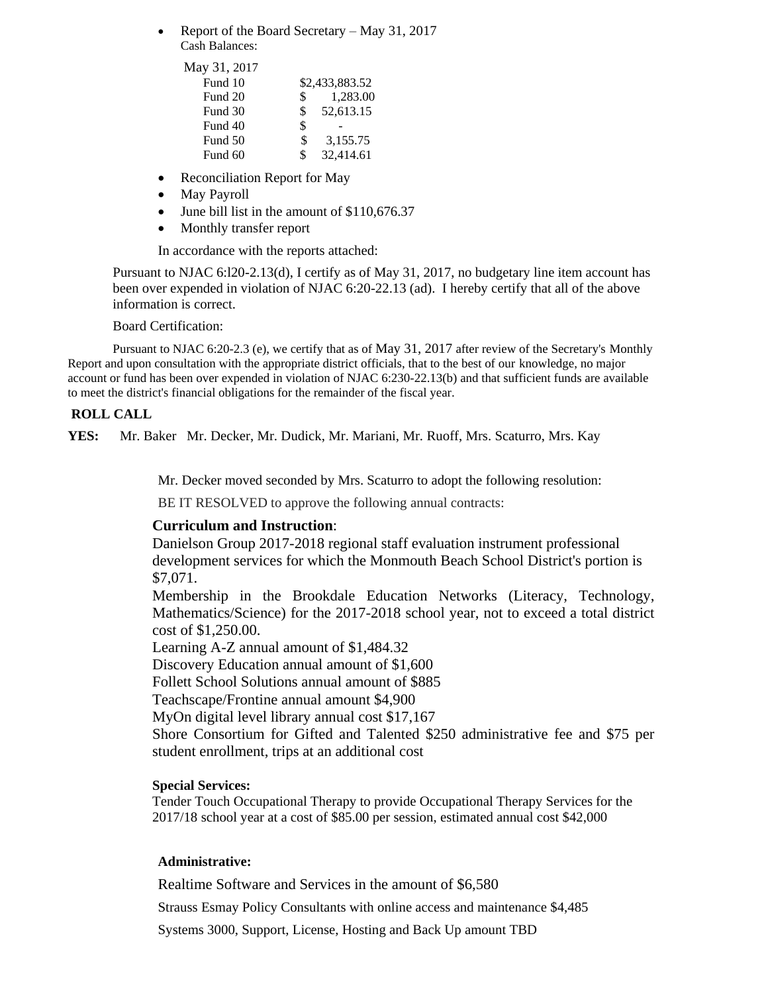• Report of the Board Secretary – May 31, 2017 Cash Balances:

| May 31, 2017 |     |                |
|--------------|-----|----------------|
| Fund 10      |     | \$2,433,883.52 |
| Fund 20      | \$  | 1,283.00       |
| Fund 30      | \$. | 52,613.15      |
| Fund 40      | \$  |                |
| Fund 50      | \$  | 3,155.75       |
| Fund 60      | \$  | 32,414.61      |

- Reconciliation Report for May
- May Payroll
- June bill list in the amount of \$110,676.37
- Monthly transfer report

In accordance with the reports attached:

Pursuant to NJAC 6:l20-2.13(d), I certify as of May 31, 2017, no budgetary line item account has been over expended in violation of NJAC 6:20-22.13 (ad). I hereby certify that all of the above information is correct.

## Board Certification:

Pursuant to NJAC 6:20-2.3 (e), we certify that as of May 31, 2017 after review of the Secretary's Monthly Report and upon consultation with the appropriate district officials, that to the best of our knowledge, no major account or fund has been over expended in violation of NJAC 6:230-22.13(b) and that sufficient funds are available to meet the district's financial obligations for the remainder of the fiscal year.

## **ROLL CALL**

**YES:** Mr. Baker Mr. Decker, Mr. Dudick, Mr. Mariani, Mr. Ruoff, Mrs. Scaturro, Mrs. Kay

Mr. Decker moved seconded by Mrs. Scaturro to adopt the following resolution:

BE IT RESOLVED to approve the following annual contracts:

#### **Curriculum and Instruction**:

Danielson Group 2017-2018 regional staff evaluation instrument professional development services for which the Monmouth Beach School District's portion is \$7,071.

Membership in the Brookdale Education Networks (Literacy, Technology, Mathematics/Science) for the 2017-2018 school year, not to exceed a total district cost of \$1,250.00.

Learning A-Z annual amount of \$1,484.32

Discovery Education annual amount of \$1,600

Follett School Solutions annual amount of \$885

Teachscape/Frontine annual amount \$4,900

MyOn digital level library annual cost \$17,167

Shore Consortium for Gifted and Talented \$250 administrative fee and \$75 per student enrollment, trips at an additional cost

#### **Special Services:**

Tender Touch Occupational Therapy to provide Occupational Therapy Services for the 2017/18 school year at a cost of \$85.00 per session, estimated annual cost \$42,000

## **Administrative:**

Realtime Software and Services in the amount of \$6,580

Strauss Esmay Policy Consultants with online access and maintenance \$4,485

Systems 3000, Support, License, Hosting and Back Up amount TBD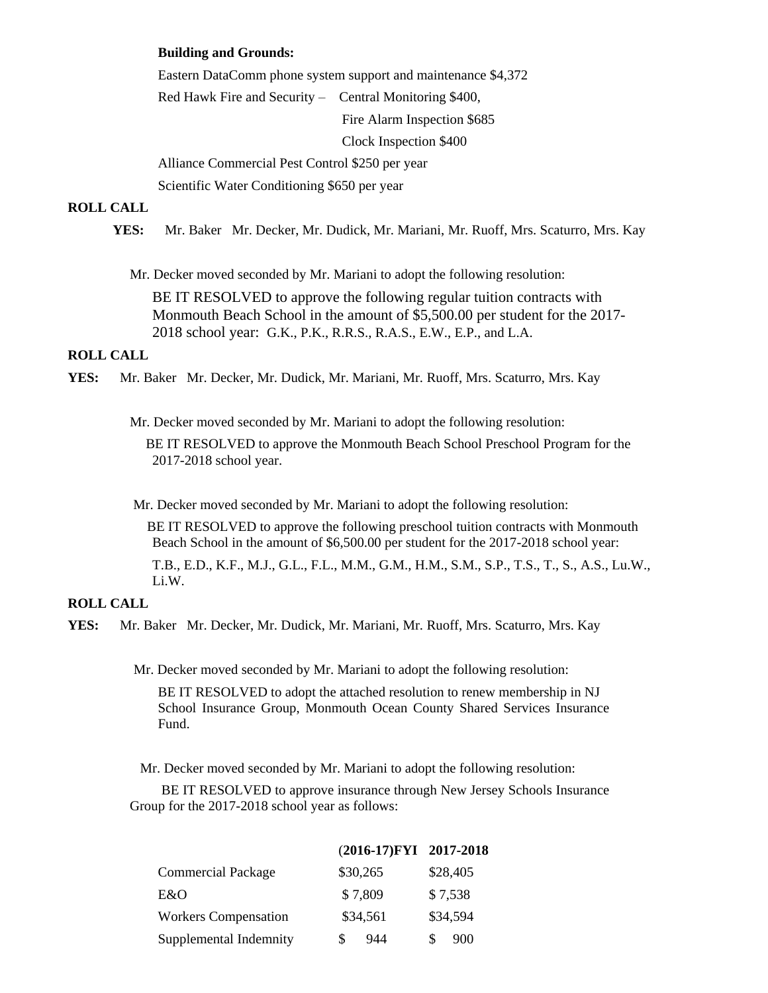#### **Building and Grounds:**

Eastern DataComm phone system support and maintenance \$4,372 Red Hawk Fire and Security – Central Monitoring \$400, Fire Alarm Inspection \$685 Clock Inspection \$400

Alliance Commercial Pest Control \$250 per year Scientific Water Conditioning \$650 per year

## **ROLL CALL**

**YES:** Mr. Baker Mr. Decker, Mr. Dudick, Mr. Mariani, Mr. Ruoff, Mrs. Scaturro, Mrs. Kay

Mr. Decker moved seconded by Mr. Mariani to adopt the following resolution:

BE IT RESOLVED to approve the following regular tuition contracts with Monmouth Beach School in the amount of \$5,500.00 per student for the 2017- 2018 school year: G.K., P.K., R.R.S., R.A.S., E.W., E.P., and L.A.

#### **ROLL CALL**

**YES:** Mr. Baker Mr. Decker, Mr. Dudick, Mr. Mariani, Mr. Ruoff, Mrs. Scaturro, Mrs. Kay

Mr. Decker moved seconded by Mr. Mariani to adopt the following resolution:

 BE IT RESOLVED to approve the Monmouth Beach School Preschool Program for the 2017-2018 school year.

Mr. Decker moved seconded by Mr. Mariani to adopt the following resolution:

 BE IT RESOLVED to approve the following preschool tuition contracts with Monmouth Beach School in the amount of \$6,500.00 per student for the 2017-2018 school year:

T.B., E.D., K.F., M.J., G.L., F.L., M.M., G.M., H.M., S.M., S.P., T.S., T., S., A.S., Lu.W., Li.W.

## **ROLL CALL**

**YES:** Mr. Baker Mr. Decker, Mr. Dudick, Mr. Mariani, Mr. Ruoff, Mrs. Scaturro, Mrs. Kay

Mr. Decker moved seconded by Mr. Mariani to adopt the following resolution:

BE IT RESOLVED to adopt the attached resolution to renew membership in NJ School Insurance Group, Monmouth Ocean County Shared Services Insurance Fund.

Mr. Decker moved seconded by Mr. Mariani to adopt the following resolution:

BE IT RESOLVED to approve insurance through New Jersey Schools Insurance Group for the 2017-2018 school year as follows:

|                             | (2016-17)FYI 2017-2018 |          |
|-----------------------------|------------------------|----------|
| <b>Commercial Package</b>   | \$30,265               | \$28,405 |
| E&O                         | \$7,809                | \$7,538  |
| <b>Workers Compensation</b> | \$34,561               | \$34,594 |
| Supplemental Indemnity      | S<br>944               | S<br>900 |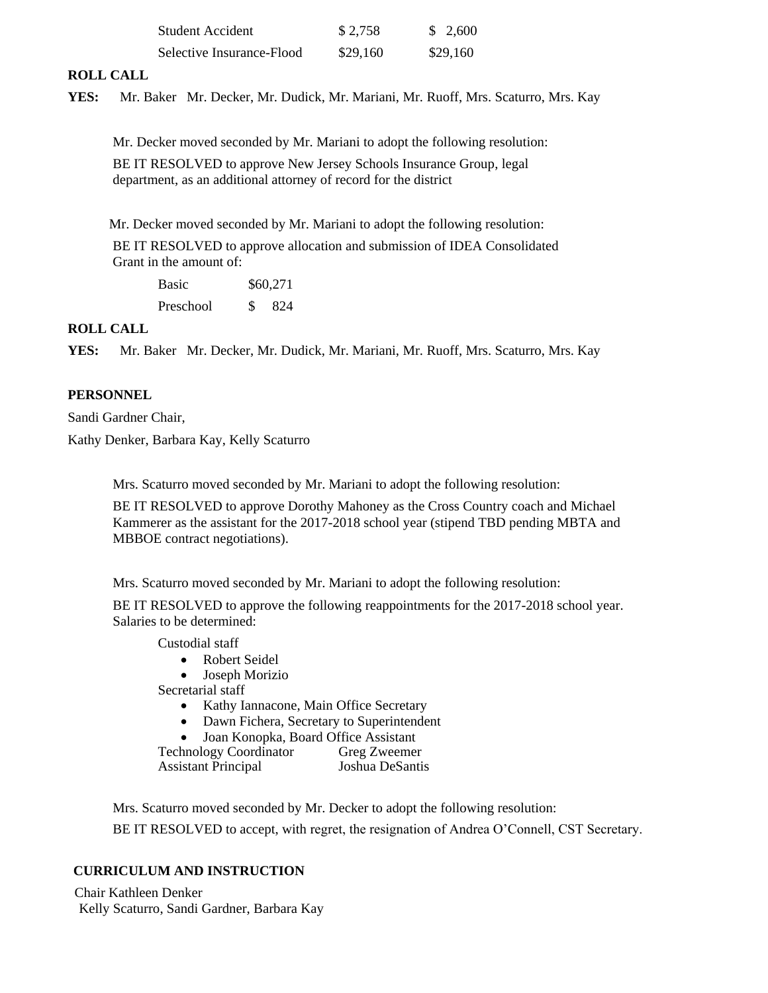| Student Accident          | \$2,758  | \$ 2.600 |
|---------------------------|----------|----------|
| Selective Insurance-Flood | \$29,160 | \$29,160 |

## **ROLL CALL**

**YES:** Mr. Baker Mr. Decker, Mr. Dudick, Mr. Mariani, Mr. Ruoff, Mrs. Scaturro, Mrs. Kay

Mr. Decker moved seconded by Mr. Mariani to adopt the following resolution:

BE IT RESOLVED to approve New Jersey Schools Insurance Group, legal department, as an additional attorney of record for the district

Mr. Decker moved seconded by Mr. Mariani to adopt the following resolution:

BE IT RESOLVED to approve allocation and submission of IDEA Consolidated Grant in the amount of:

Basic \$60,271 Preschool \$ 824

## **ROLL CALL**

**YES:** Mr. Baker Mr. Decker, Mr. Dudick, Mr. Mariani, Mr. Ruoff, Mrs. Scaturro, Mrs. Kay

## **PERSONNEL**

Sandi Gardner Chair,

Kathy Denker, Barbara Kay, Kelly Scaturro

Mrs. Scaturro moved seconded by Mr. Mariani to adopt the following resolution:

BE IT RESOLVED to approve Dorothy Mahoney as the Cross Country coach and Michael Kammerer as the assistant for the 2017-2018 school year (stipend TBD pending MBTA and MBBOE contract negotiations).

Mrs. Scaturro moved seconded by Mr. Mariani to adopt the following resolution:

BE IT RESOLVED to approve the following reappointments for the 2017-2018 school year. Salaries to be determined:

Custodial staff

- Robert Seidel
- Joseph Morizio

Secretarial staff

- Kathy Iannacone, Main Office Secretary
- Dawn Fichera, Secretary to Superintendent
- Joan Konopka, Board Office Assistant

Technology Coordinator Greg Zweemer Assistant Principal Joshua DeSantis

Mrs. Scaturro moved seconded by Mr. Decker to adopt the following resolution:

BE IT RESOLVED to accept, with regret, the resignation of Andrea O'Connell, CST Secretary.

## **CURRICULUM AND INSTRUCTION**

Chair Kathleen Denker Kelly Scaturro, Sandi Gardner, Barbara Kay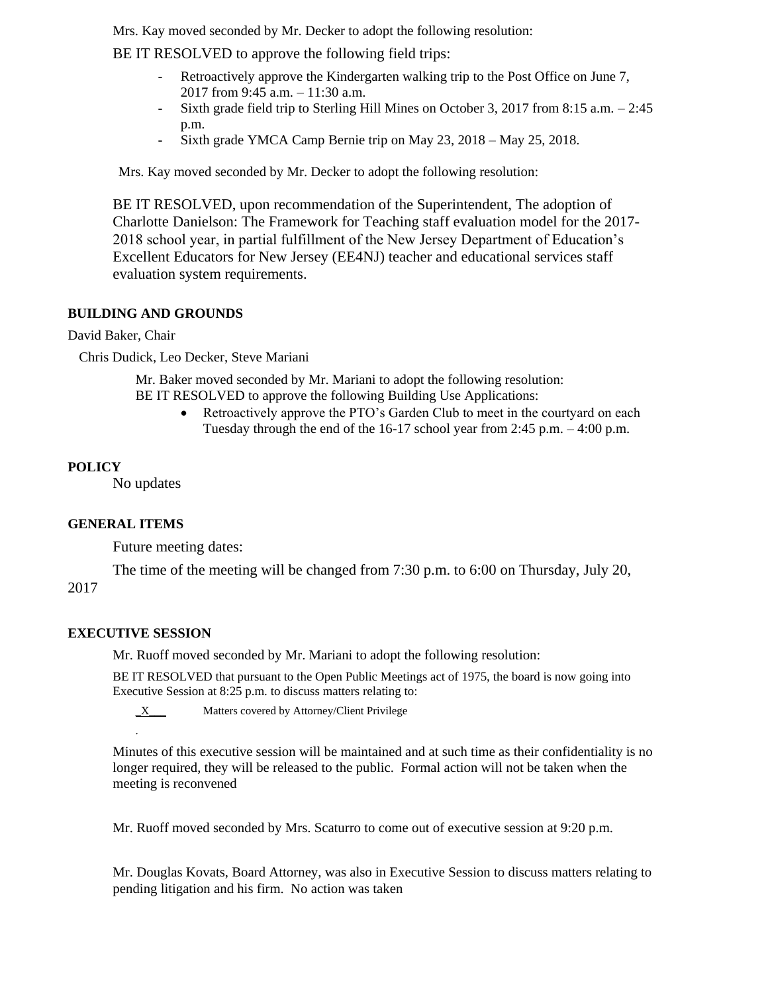Mrs. Kay moved seconded by Mr. Decker to adopt the following resolution:

BE IT RESOLVED to approve the following field trips:

- Retroactively approve the Kindergarten walking trip to the Post Office on June 7, 2017 from 9:45 a.m. – 11:30 a.m.
- Sixth grade field trip to Sterling Hill Mines on October 3, 2017 from 8:15 a.m. 2:45 p.m.
- Sixth grade YMCA Camp Bernie trip on May 23, 2018 May 25, 2018.

Mrs. Kay moved seconded by Mr. Decker to adopt the following resolution:

BE IT RESOLVED, upon recommendation of the Superintendent, The adoption of Charlotte Danielson: The Framework for Teaching staff evaluation model for the 2017- 2018 school year, in partial fulfillment of the New Jersey Department of Education's Excellent Educators for New Jersey (EE4NJ) teacher and educational services staff evaluation system requirements.

## **BUILDING AND GROUNDS**

David Baker, Chair

Chris Dudick, Leo Decker, Steve Mariani

Mr. Baker moved seconded by Mr. Mariani to adopt the following resolution: BE IT RESOLVED to approve the following Building Use Applications:

> Retroactively approve the PTO's Garden Club to meet in the courtyard on each Tuesday through the end of the 16-17 school year from 2:45 p.m. – 4:00 p.m.

## **POLICY**

No updates

## **GENERAL ITEMS**

Future meeting dates:

The time of the meeting will be changed from 7:30 p.m. to 6:00 on Thursday, July 20,

## 2017

## **EXECUTIVE SESSION**

.

Mr. Ruoff moved seconded by Mr. Mariani to adopt the following resolution:

BE IT RESOLVED that pursuant to the Open Public Meetings act of 1975, the board is now going into Executive Session at 8:25 p.m. to discuss matters relating to:

 $X$  Matters covered by Attorney/Client Privilege

Minutes of this executive session will be maintained and at such time as their confidentiality is no longer required, they will be released to the public. Formal action will not be taken when the meeting is reconvened

Mr. Ruoff moved seconded by Mrs. Scaturro to come out of executive session at 9:20 p.m.

Mr. Douglas Kovats, Board Attorney, was also in Executive Session to discuss matters relating to pending litigation and his firm. No action was taken